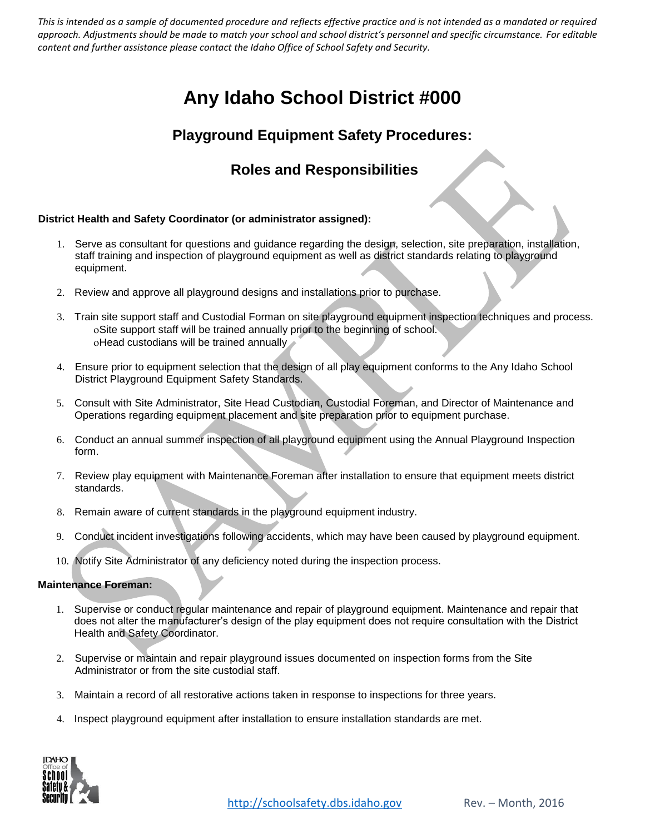# **Any Idaho School District #000**

# **Playground Equipment Safety Procedures:**

# **Roles and Responsibilities**

#### **District Health and Safety Coordinator (or administrator assigned):**

- 1. Serve as consultant for questions and guidance regarding the design, selection, site preparation, installation, staff training and inspection of playground equipment as well as district standards relating to playground equipment.
- 2. Review and approve all playground designs and installations prior to purchase.
- 3. Train site support staff and Custodial Forman on site playground equipment inspection techniques and process. Site support staff will be trained annually prior to the beginning of school. oHead custodians will be trained annually
- 4. Ensure prior to equipment selection that the design of all play equipment conforms to the Any Idaho School District Playground Equipment Safety Standards.
- 5. Consult with Site Administrator, Site Head Custodian, Custodial Foreman, and Director of Maintenance and Operations regarding equipment placement and site preparation prior to equipment purchase.
- 6. Conduct an annual summer inspection of all playground equipment using the Annual Playground Inspection form.
- 7. Review play equipment with Maintenance Foreman after installation to ensure that equipment meets district standards.
- 8. Remain aware of current standards in the playground equipment industry.
- 9. Conduct incident investigations following accidents, which may have been caused by playground equipment.
- 10. Notify Site Administrator of any deficiency noted during the inspection process.

#### **Maintenance Foreman:**

- 1. Supervise or conduct regular maintenance and repair of playground equipment. Maintenance and repair that does not alter the manufacturer's design of the play equipment does not require consultation with the District Health and Safety Coordinator.
- 2. Supervise or maintain and repair playground issues documented on inspection forms from the Site Administrator or from the site custodial staff.
- 3. Maintain a record of all restorative actions taken in response to inspections for three years.
- 4. Inspect playground equipment after installation to ensure installation standards are met.

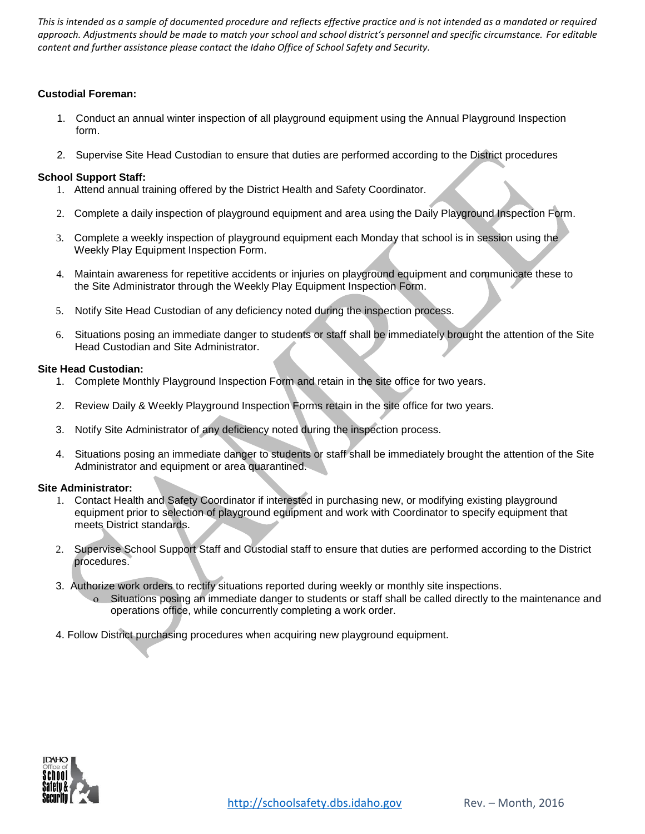#### **Custodial Foreman:**

- 1. Conduct an annual winter inspection of all playground equipment using the Annual Playground Inspection form.
- 2. Supervise Site Head Custodian to ensure that duties are performed according to the District procedures

#### **School Support Staff:**

- 1. Attend annual training offered by the District Health and Safety Coordinator.
- 2. Complete a daily inspection of playground equipment and area using the Daily Playground Inspection Form.
- 3. Complete a weekly inspection of playground equipment each Monday that school is in session using the Weekly Play Equipment Inspection Form.
- 4. Maintain awareness for repetitive accidents or injuries on playground equipment and communicate these to the Site Administrator through the Weekly Play Equipment Inspection Form.
- 5. Notify Site Head Custodian of any deficiency noted during the inspection process.
- 6. Situations posing an immediate danger to students or staff shall be immediately brought the attention of the Site Head Custodian and Site Administrator.

#### **Site Head Custodian:**

- 1. Complete Monthly Playground Inspection Form and retain in the site office for two years.
- 2. Review Daily & Weekly Playground Inspection Forms retain in the site office for two years.
- 3. Notify Site Administrator of any deficiency noted during the inspection process.
- 4. Situations posing an immediate danger to students or staff shall be immediately brought the attention of the Site Administrator and equipment or area quarantined.

#### **Site Administrator:**

- 1. Contact Health and Safety Coordinator if interested in purchasing new, or modifying existing playground equipment prior to selection of playground equipment and work with Coordinator to specify equipment that meets District standards.
- 2. Supervise School Support Staff and Custodial staff to ensure that duties are performed according to the District procedures.
- 3. Authorize work orders to rectify situations reported during weekly or monthly site inspections.
	- Situations posing an immediate danger to students or staff shall be called directly to the maintenance and operations office, while concurrently completing a work order.
- 4. Follow District purchasing procedures when acquiring new playground equipment.

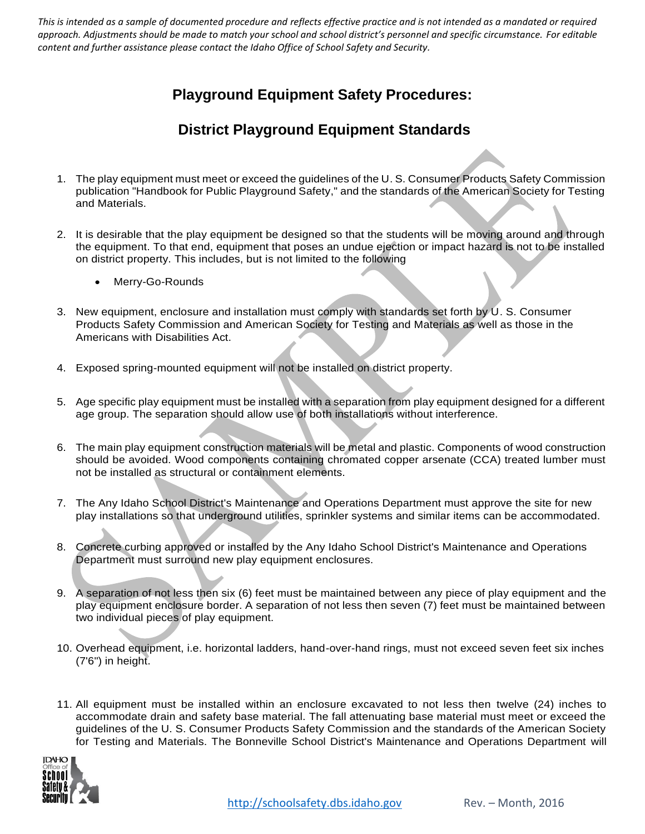## **Playground Equipment Safety Procedures:**

## **District Playground Equipment Standards**

- 1. The play equipment must meet or exceed the guidelines of the U. S. Consumer Products Safety Commission publication "Handbook for Public Playground Safety," and the standards of the American Society for Testing and Materials.
- 2. It is desirable that the play equipment be designed so that the students will be moving around and through the equipment. To that end, equipment that poses an undue ejection or impact hazard is not to be installed on district property. This includes, but is not limited to the following
	- Merry-Go-Rounds
- 3. New equipment, enclosure and installation must comply with standards set forth by U. S. Consumer Products Safety Commission and American Society for Testing and Materials as well as those in the Americans with Disabilities Act.
- 4. Exposed spring-mounted equipment will not be installed on district property.
- 5. Age specific play equipment must be installed with a separation from play equipment designed for a different age group. The separation should allow use of both installations without interference.
- 6. The main play equipment construction materials will be metal and plastic. Components of wood construction should be avoided. Wood components containing chromated copper arsenate (CCA) treated lumber must not be installed as structural or containment elements.
- 7. The Any Idaho School District's Maintenance and Operations Department must approve the site for new play installations so that underground utilities, sprinkler systems and similar items can be accommodated.
- 8. Concrete curbing approved or installed by the Any Idaho School District's Maintenance and Operations Department must surround new play equipment enclosures.
- 9. A separation of not less then six (6) feet must be maintained between any piece of play equipment and the play equipment enclosure border. A separation of not less then seven (7) feet must be maintained between two individual pieces of play equipment.
- 10. Overhead equipment, i.e. horizontal ladders, hand-over-hand rings, must not exceed seven feet six inches (7'6") in height.
- 11. All equipment must be installed within an enclosure excavated to not less then twelve (24) inches to accommodate drain and safety base material. The fall attenuating base material must meet or exceed the guidelines of the U. S. Consumer Products Safety Commission and the standards of the American Society for Testing and Materials. The Bonneville School District's Maintenance and Operations Department will

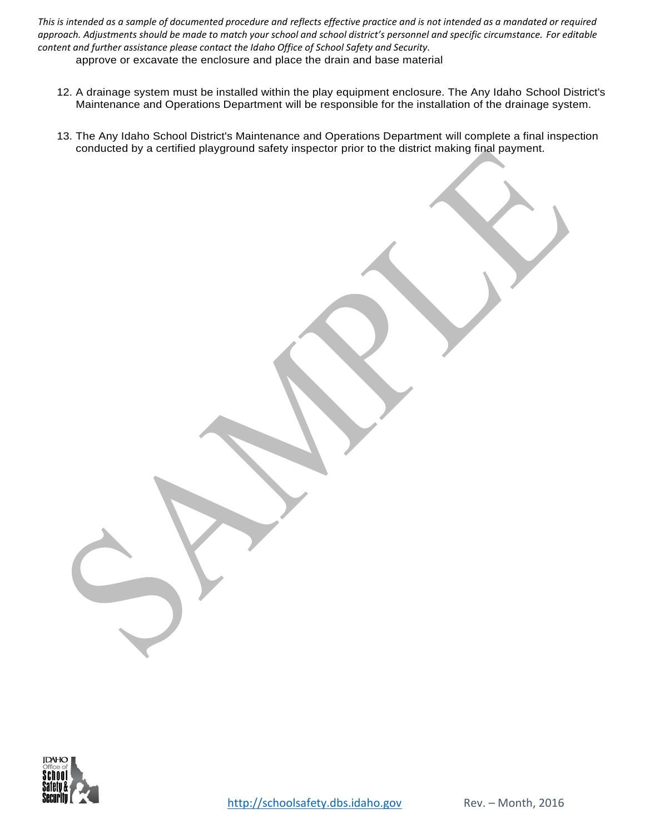12. A drainage system must be installed within the play equipment enclosure. The Any Idaho School District's Maintenance and Operations Department will be responsible for the installation of the drainage system.

13. The Any Idaho School District's Maintenance and Operations Department will complete a final inspection conducted by a certified playground safety inspector prior to the district making final payment.